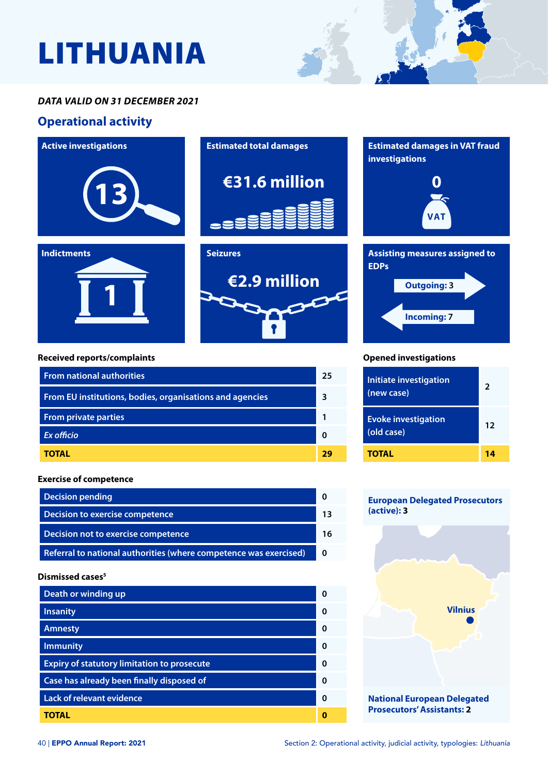# LITHUANIA

#### *DATA VALID ON 31 DECEMBER 2021*

### **Operational activity**





| Death or winding up                                |   |
|----------------------------------------------------|---|
| <b>Insanity</b>                                    |   |
| <b>Amnesty</b>                                     | ŋ |
| <b>Immunity</b>                                    | ŋ |
| <b>Expiry of statutory limitation to prosecute</b> | ŋ |
| Case has already been finally disposed of          | ŋ |
| <b>Lack of relevant evidence</b>                   |   |
| TOTAL                                              |   |

**Referral to national authorities (where competence was exercised) 0**

**National European Delegated Prosecutors' Assistants: 2**

**Vilnius**